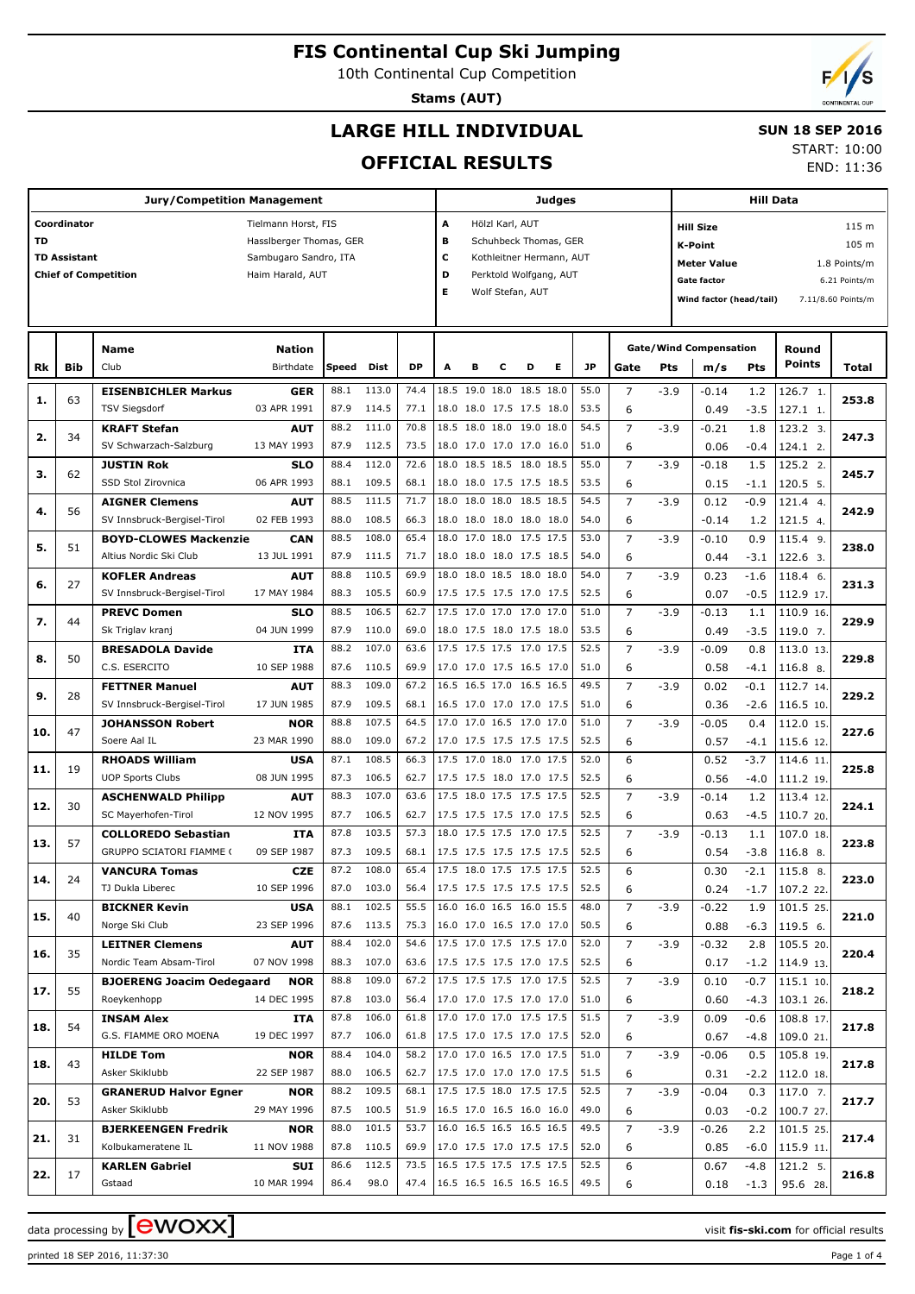10th Continental Cup Competition

**Stams (AUT)**

END: 11:36

# **LARGE HILL INDIVIDUAL**

#### **SUN 18 SEP 2016** START: 10:00

**OFFICIAL RESULTS**

|                                                                                                                                                                                                                                                                                                                                                                                                                                           |     | <b>Jury/Competition Management</b>                   |                            |              |                |              |      |                                                      |                                                                       |   | <b>Judges</b> |              |                     |        |                                      | <b>Hill Data</b> |                         |       |
|-------------------------------------------------------------------------------------------------------------------------------------------------------------------------------------------------------------------------------------------------------------------------------------------------------------------------------------------------------------------------------------------------------------------------------------------|-----|------------------------------------------------------|----------------------------|--------------|----------------|--------------|------|------------------------------------------------------|-----------------------------------------------------------------------|---|---------------|--------------|---------------------|--------|--------------------------------------|------------------|-------------------------|-------|
| Coordinator<br>A<br>Hölzl Karl, AUT<br>Tielmann Horst, FIS<br><b>Hill Size</b><br><b>TD</b><br>в<br>Hassiberger Thomas, GER<br>Schuhbeck Thomas, GER<br><b>K-Point</b><br><b>TD Assistant</b><br>с<br>Sambugaro Sandro, ITA<br>Kothleitner Hermann, AUT<br><b>Meter Value</b><br><b>Chief of Competition</b><br>D<br>Perktold Wolfgang, AUT<br>Haim Harald, AUT<br><b>Gate factor</b><br>Е<br>Wolf Stefan, AUT<br>Wind factor (head/tail) |     |                                                      |                            |              |                |              |      |                                                      | 115 m<br>105 m<br>1.8 Points/m<br>6.21 Points/m<br>7.11/8.60 Points/m |   |               |              |                     |        |                                      |                  |                         |       |
| Rk                                                                                                                                                                                                                                                                                                                                                                                                                                        | Bib | <b>Name</b><br>Club                                  | <b>Nation</b><br>Birthdate | Speed        | Dist           | <b>DP</b>    | A    | в                                                    | c                                                                     | D | Е             | JP           | Gate                | Pts    | <b>Gate/Wind Compensation</b><br>m/s | Pts              | Round<br><b>Points</b>  | Total |
|                                                                                                                                                                                                                                                                                                                                                                                                                                           |     | <b>EISENBICHLER Markus</b>                           | <b>GER</b>                 | 88.1         | 113.0          | 74.4         |      | 18.5 19.0 18.0 18.5 18.0                             |                                                                       |   |               | 55.0         | $\overline{7}$      | $-3.9$ | $-0.14$                              | 1.2              | 126.7 1.                |       |
| 1.                                                                                                                                                                                                                                                                                                                                                                                                                                        | 63  | <b>TSV Siegsdorf</b>                                 | 03 APR 1991                | 87.9         | 114.5          | 77.1         |      | 18.0 18.0 17.5 17.5 18.0                             |                                                                       |   |               | 53.5         | 6                   |        | 0.49                                 | $-3.5$           | 127.1 1.                | 253.8 |
| 2.                                                                                                                                                                                                                                                                                                                                                                                                                                        | 34  | <b>KRAFT Stefan</b>                                  | <b>AUT</b>                 | 88.2         | 111.0          | 70.8         |      | 18.5 18.0 18.0 19.0 18.0                             |                                                                       |   |               | 54.5         | $\overline{7}$      | $-3.9$ | $-0.21$                              | 1.8              | 123.2 3.                | 247.3 |
|                                                                                                                                                                                                                                                                                                                                                                                                                                           |     | SV Schwarzach-Salzburg                               | 13 MAY 1993                | 87.9         | 112.5          | 73.5         |      | 18.0 17.0 17.0 17.0 16.0                             |                                                                       |   |               | 51.0         | 6                   |        | 0.06                                 | $-0.4$           | 124.1 2.                |       |
| 3.                                                                                                                                                                                                                                                                                                                                                                                                                                        | 62  | <b>JUSTIN Rok</b>                                    | <b>SLO</b>                 | 88.4         | 112.0          | 72.6         |      | 18.0 18.5 18.5 18.0 18.5                             |                                                                       |   |               | 55.0         | $\overline{7}$      | $-3.9$ | $-0.18$                              | 1.5              | 125.2 2.                | 245.7 |
|                                                                                                                                                                                                                                                                                                                                                                                                                                           |     | SSD Stol Zirovnica                                   | 06 APR 1993                | 88.1         | 109.5          | 68.1         |      | 18.0 18.0 17.5 17.5 18.5                             |                                                                       |   |               | 53.5         | 6                   |        | 0.15                                 | $-1.1$           | 120.5 5.                |       |
| 4.                                                                                                                                                                                                                                                                                                                                                                                                                                        | 56  | <b>AIGNER Clemens</b><br>SV Innsbruck-Bergisel-Tirol | <b>AUT</b><br>02 FEB 1993  | 88.5<br>88.0 | 111.5<br>108.5 | 71.7<br>66.3 | 18.0 | 18.0 18.0 18.5 18.5<br>18.0 18.0 18.0 18.0 18.0      |                                                                       |   |               | 54.5<br>54.0 | $\overline{7}$<br>6 | $-3.9$ | 0.12<br>$-0.14$                      | $-0.9$<br>1.2    | 121.4 4.<br>121.5 4.    | 242.9 |
|                                                                                                                                                                                                                                                                                                                                                                                                                                           |     | <b>BOYD-CLOWES Mackenzie</b>                         | <b>CAN</b>                 | 88.5         | 108.0          | 65.4         |      | 18.0 17.0 18.0 17.5 17.5                             |                                                                       |   |               | 53.0         | $\overline{7}$      | $-3.9$ | $-0.10$                              | 0.9              | 115.4 9.                |       |
| 5.                                                                                                                                                                                                                                                                                                                                                                                                                                        | 51  | Altius Nordic Ski Club                               | 13 JUL 1991                | 87.9         | 111.5          | 71.7         |      | 18.0 18.0 18.0 17.5 18.5                             |                                                                       |   |               | 54.0         | 6                   |        | 0.44                                 | $-3.1$           | 122.6 3.                | 238.0 |
|                                                                                                                                                                                                                                                                                                                                                                                                                                           |     | <b>KOFLER Andreas</b>                                | <b>AUT</b>                 | 88.8         | 110.5          | 69.9         |      | 18.0 18.0 18.5 18.0 18.0                             |                                                                       |   |               | 54.0         | $\overline{7}$      | $-3.9$ | 0.23                                 | $-1.6$           | 118.4 6.                |       |
| 6.                                                                                                                                                                                                                                                                                                                                                                                                                                        | 27  | SV Innsbruck-Bergisel-Tirol                          | 17 MAY 1984                | 88.3         | 105.5          | 60.9         |      | 17.5 17.5 17.5 17.0 17.5                             |                                                                       |   |               | 52.5         | 6                   |        | 0.07                                 | $-0.5$           | 112.9 17.               | 231.3 |
| 7.                                                                                                                                                                                                                                                                                                                                                                                                                                        | 44  | <b>PREVC Domen</b>                                   | <b>SLO</b>                 | 88.5         | 106.5          | 62.7         |      | 17.5 17.0 17.0 17.0 17.0                             |                                                                       |   |               | 51.0         | $\overline{7}$      | $-3.9$ | $-0.13$                              | 1.1              | 110.9 16.               | 229.9 |
|                                                                                                                                                                                                                                                                                                                                                                                                                                           |     | Sk Triglav kranj                                     | 04 JUN 1999                | 87.9         | 110.0          | 69.0         |      | 18.0 17.5 18.0 17.5 18.0                             |                                                                       |   |               | 53.5         | 6                   |        | 0.49                                 | $-3.5$           | 119.0 7.                |       |
| 8.                                                                                                                                                                                                                                                                                                                                                                                                                                        | 50  | <b>BRESADOLA Davide</b>                              | ITA                        | 88.2         | 107.0          | 63.6         |      | 17.5 17.5 17.5 17.0 17.5                             |                                                                       |   |               | 52.5         | $\overline{7}$      | $-3.9$ | $-0.09$                              | 0.8              | 113.0 13.               | 229.8 |
|                                                                                                                                                                                                                                                                                                                                                                                                                                           |     | C.S. ESERCITO                                        | 10 SEP 1988                | 87.6         | 110.5          | 69.9         |      | 17.0 17.0 17.5 16.5 17.0                             |                                                                       |   |               | 51.0         | 6                   |        | 0.58                                 | $-4.1$           | 116.8 8.                |       |
| 9.                                                                                                                                                                                                                                                                                                                                                                                                                                        | 28  | <b>FETTNER Manuel</b>                                | <b>AUT</b>                 | 88.3         | 109.0          | 67.2         |      | 16.5 16.5 17.0 16.5 16.5                             |                                                                       |   |               | 49.5         | $\overline{7}$      | $-3.9$ | 0.02                                 | $-0.1$           | 112.7 14.               | 229.2 |
|                                                                                                                                                                                                                                                                                                                                                                                                                                           |     | SV Innsbruck-Bergisel-Tirol                          | 17 JUN 1985                | 87.9         | 109.5          | 68.1         |      | 16.5 17.0 17.0 17.0 17.5<br>17.0 17.0 16.5 17.0 17.0 |                                                                       |   |               | 51.0         | 6<br>$\overline{7}$ |        | 0.36                                 | $-2.6$           | 116.5 10.               |       |
| 10.                                                                                                                                                                                                                                                                                                                                                                                                                                       | 47  | <b>JOHANSSON Robert</b><br>Soere Aal IL              | <b>NOR</b><br>23 MAR 1990  | 88.8<br>88.0 | 107.5<br>109.0 | 64.5<br>67.2 |      | 17.0 17.5 17.5 17.5 17.5                             |                                                                       |   |               | 51.0<br>52.5 | 6                   | $-3.9$ | $-0.05$<br>0.57                      | 0.4<br>$-4.1$    | 112.0 15.<br>115.6 12.  | 227.6 |
|                                                                                                                                                                                                                                                                                                                                                                                                                                           |     | <b>RHOADS William</b>                                | <b>USA</b>                 | 87.1         | 108.5          | 66.3         |      | 17.5 17.0 18.0 17.0 17.5                             |                                                                       |   |               | 52.0         | 6                   |        | 0.52                                 | $-3.7$           | 114.6 11                |       |
| 11.                                                                                                                                                                                                                                                                                                                                                                                                                                       | 19  | <b>UOP Sports Clubs</b>                              | 08 JUN 1995                | 87.3         | 106.5          | 62.7         |      | 17.5 17.5 18.0 17.0 17.5                             |                                                                       |   |               | 52.5         | 6                   |        | 0.56                                 | $-4.0$           | 111.2 19.               | 225.8 |
|                                                                                                                                                                                                                                                                                                                                                                                                                                           |     | <b>ASCHENWALD Philipp</b>                            | <b>AUT</b>                 | 88.3         | 107.0          | 63.6         |      | 17.5 18.0 17.5 17.5 17.5                             |                                                                       |   |               | 52.5         | $\overline{7}$      | $-3.9$ | $-0.14$                              | 1.2              | 113.4 12.               |       |
| 12.                                                                                                                                                                                                                                                                                                                                                                                                                                       | 30  | SC Mayerhofen-Tirol                                  | 12 NOV 1995                | 87.7         | 106.5          | 62.7         |      | 17.5 17.5 17.5 17.0 17.5                             |                                                                       |   |               | 52.5         | 6                   |        | 0.63                                 | $-4.5$           | 110.7 20.               | 224.1 |
| 13.                                                                                                                                                                                                                                                                                                                                                                                                                                       | 57  | <b>COLLOREDO Sebastian</b>                           | ITA                        | 87.8         | 103.5          | 57.3         |      | 18.0 17.5 17.5 17.0 17.5                             |                                                                       |   |               | 52.5         | $\overline{7}$      | $-3.9$ | $-0.13$                              | 1.1              | 107.0 18.               | 223.8 |
|                                                                                                                                                                                                                                                                                                                                                                                                                                           |     | GRUPPO SCIATORI FIAMME (                             | 09 SEP 1987                | 87.3         | 109.5          | 68.1         |      | 17.5 17.5 17.5 17.5 17.5                             |                                                                       |   |               | 52.5         | 6                   |        | 0.54                                 | $-3.8$           | 116.8 8.                |       |
| 14.                                                                                                                                                                                                                                                                                                                                                                                                                                       | 24  | <b>VANCURA Tomas</b>                                 | <b>CZE</b>                 | 87.2         | 108.0          | 65.4         |      | 17.5 18.0 17.5 17.5 17.5                             |                                                                       |   |               | 52.5         | 6                   |        | 0.30                                 | $-2.1$           | 115.8 8.                | 223.0 |
|                                                                                                                                                                                                                                                                                                                                                                                                                                           |     | TJ Dukla Liberec                                     | 10 SEP 1996                | 87.0         | 103.0          | 56.4         |      | 17.5 17.5 17.5 17.5 17.5                             |                                                                       |   |               | 52.5         | 6                   |        | 0.24                                 | -1.7             | 107.2 22.               |       |
| 15.                                                                                                                                                                                                                                                                                                                                                                                                                                       | 40  | <b>BICKNER Kevin</b>                                 | <b>USA</b>                 | 88.1         | 102.5          | 55.5         |      | 16.0 16.0 16.5 16.0 15.5                             |                                                                       |   |               | 48.0         | $\overline{7}$      | $-3.9$ | $-0.22$                              | 1.9              | 101.5 25.               | 221.0 |
|                                                                                                                                                                                                                                                                                                                                                                                                                                           |     | Norge Ski Club<br><b>LEITNER Clemens</b>             | 23 SEP 1996<br><b>AUT</b>  | 87.6<br>88.4 | 113.5<br>102.0 | 75.3<br>54.6 |      | 16.0 17.0 16.5 17.0 17.0<br>17.5 17.0 17.5 17.5 17.0 |                                                                       |   |               | 50.5<br>52.0 | 6<br>$\overline{7}$ | $-3.9$ | 0.88<br>$-0.32$                      | $-6.3$<br>2.8    | 119.5 6.<br>105.5 20.   |       |
| 16.                                                                                                                                                                                                                                                                                                                                                                                                                                       | 35  | Nordic Team Absam-Tirol                              | 07 NOV 1998                | 88.3         | 107.0          | 63.6         |      | 17.5 17.5 17.5 17.0 17.5                             |                                                                       |   |               | 52.5         | 6                   |        | 0.17                                 | $-1.2$           | 114.9 13.               | 220.4 |
|                                                                                                                                                                                                                                                                                                                                                                                                                                           |     | <b>BJOERENG Joacim Oedegaard</b>                     | <b>NOR</b>                 | 88.8         | 109.0          | 67.2         |      | 17.5 17.5 17.5 17.0 17.5                             |                                                                       |   |               | 52.5         | $\overline{7}$      | $-3.9$ | 0.10                                 | $-0.7$           | 115.1 10.               |       |
| 17.                                                                                                                                                                                                                                                                                                                                                                                                                                       | 55  | Roeykenhopp                                          | 14 DEC 1995                | 87.8         | 103.0          | 56.4         |      | 17.0 17.0 17.5 17.0 17.0                             |                                                                       |   |               | 51.0         | 6                   |        | 0.60                                 | $-4.3$           | 103.1 26.               | 218.2 |
|                                                                                                                                                                                                                                                                                                                                                                                                                                           |     | <b>INSAM Alex</b>                                    | ITA                        | 87.8         | 106.0          | 61.8         |      | 17.0 17.0 17.0 17.5 17.5                             |                                                                       |   |               | 51.5         | $\overline{7}$      | $-3.9$ | 0.09                                 | $-0.6$           | 108.8 17.               |       |
| 18.                                                                                                                                                                                                                                                                                                                                                                                                                                       | 54  | G.S. FIAMME ORO MOENA                                | 19 DEC 1997                | 87.7         | 106.0          | 61.8         |      | 17.5 17.0 17.5 17.0 17.5                             |                                                                       |   |               | 52.0         | 6                   |        | 0.67                                 | $-4.8$           | 109.0 21.               | 217.8 |
| 18.                                                                                                                                                                                                                                                                                                                                                                                                                                       | 43  | <b>HILDE Tom</b>                                     | <b>NOR</b>                 | 88.4         | 104.0          | 58.2         |      | 17.0 17.0 16.5 17.0 17.5                             |                                                                       |   |               | 51.0         | $\overline{7}$      | $-3.9$ | $-0.06$                              | 0.5              | 105.8 19.               | 217.8 |
|                                                                                                                                                                                                                                                                                                                                                                                                                                           |     | Asker Skiklubb                                       | 22 SEP 1987                | 88.0         | 106.5          | 62.7         |      | 17.5 17.0 17.0 17.0 17.5                             |                                                                       |   |               | 51.5         | 6                   |        | 0.31                                 | $-2.2$           | 112.0 18.               |       |
| 20.                                                                                                                                                                                                                                                                                                                                                                                                                                       | 53  | <b>GRANERUD Halvor Egner</b>                         | <b>NOR</b>                 | 88.2         | 109.5          | 68.1         |      | 17.5 17.5 18.0 17.5 17.5                             |                                                                       |   |               | 52.5         | $\overline{7}$      | $-3.9$ | $-0.04$                              | 0.3              | 117.0 7.                | 217.7 |
|                                                                                                                                                                                                                                                                                                                                                                                                                                           |     | Asker Skiklubb                                       | 29 MAY 1996                | 87.5         | 100.5          | 51.9         |      | 16.5 17.0 16.5 16.0 16.0                             |                                                                       |   |               | 49.0         | 6                   |        | 0.03                                 | $-0.2$           | 100.7 27.               |       |
| 21.                                                                                                                                                                                                                                                                                                                                                                                                                                       | 31  | <b>BJERKEENGEN Fredrik</b><br>Kolbukameratene IL     | <b>NOR</b><br>11 NOV 1988  | 88.0<br>87.8 | 101.5<br>110.5 | 53.7<br>69.9 |      | 16.0 16.5 16.5 16.5 16.5<br>17.0 17.5 17.0 17.5 17.5 |                                                                       |   |               | 49.5<br>52.0 | $\overline{7}$<br>6 | $-3.9$ | $-0.26$                              | 2.2              | 101.5 25.               | 217.4 |
|                                                                                                                                                                                                                                                                                                                                                                                                                                           |     | <b>KARLEN Gabriel</b>                                | SUI                        | 86.6         | 112.5          | 73.5         |      | 16.5 17.5 17.5 17.5 17.5                             |                                                                       |   |               | 52.5         | 6                   |        | 0.85<br>0.67                         | $-6.0$<br>$-4.8$ | 115.9 11.<br>$121.2$ 5. |       |
| 22.                                                                                                                                                                                                                                                                                                                                                                                                                                       | 17  | Gstaad                                               | 10 MAR 1994                | 86.4         | 98.0           | 47.4         |      | $16.5$ 16.5 16.5 16.5 16.5                           |                                                                       |   |               | 49.5         | 6                   |        | 0.18                                 | $-1.3$           | 95.6 28.                | 216.8 |

data processing by **CWOXX** and the set of the set of the set of the set of the set of the set of the set of the set of the set of the set of the set of the set of the set of the set of the set of the set of the set of the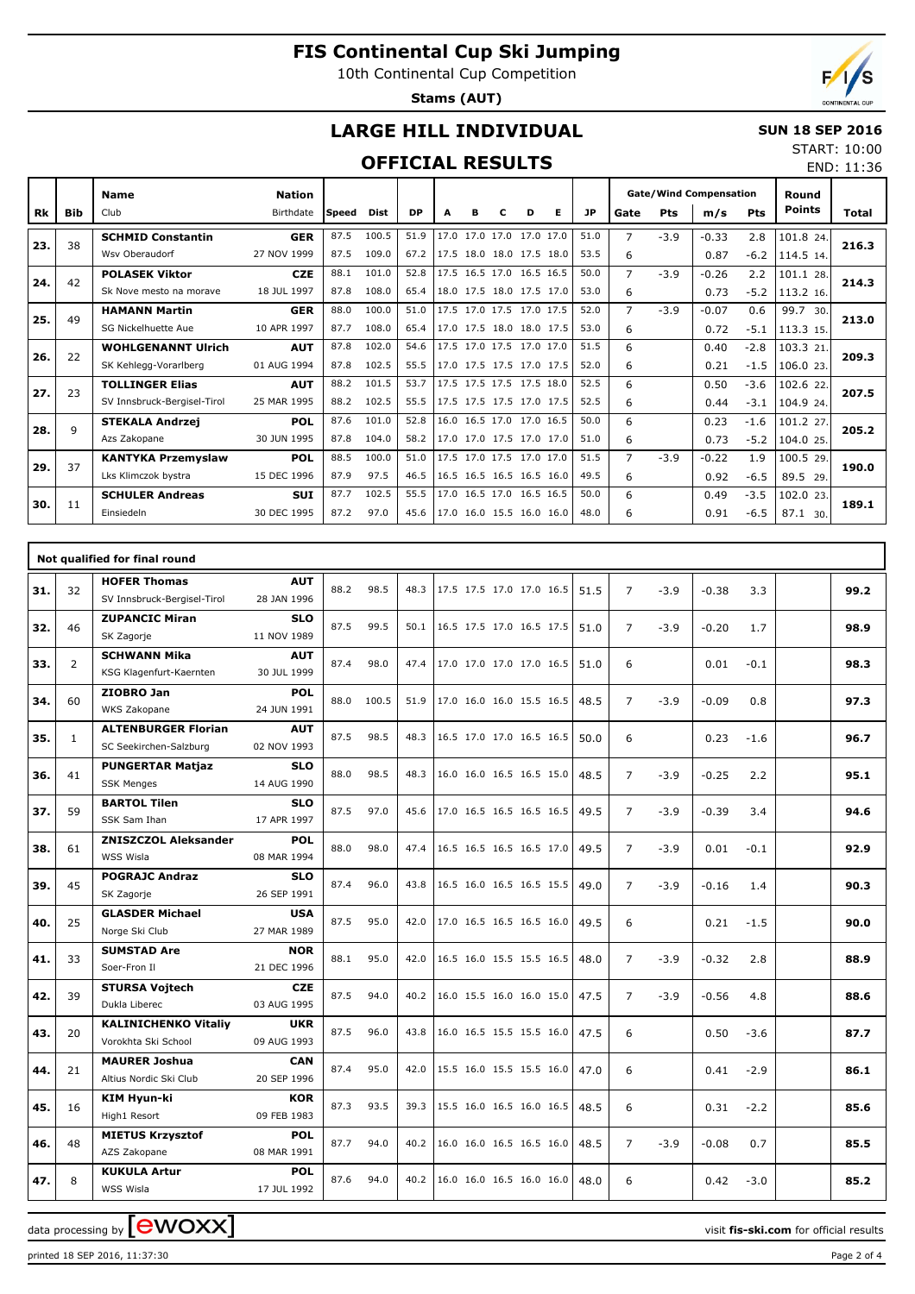10th Continental Cup Competition

**Stams (AUT)**



END: 11:36

## **LARGE HILL INDIVIDUAL**

#### **SUN 18 SEP 2016** START: 10:00

## **OFFICIAL RESULTS**

|     |             | <b>Name</b>                 | <b>Nation</b> |       |             |           |      |   |                          |   |   |           |                |        | <b>Gate/Wind Compensation</b> |            | Round         |       |
|-----|-------------|-----------------------------|---------------|-------|-------------|-----------|------|---|--------------------------|---|---|-----------|----------------|--------|-------------------------------|------------|---------------|-------|
| Rk  | <b>Bib</b>  | Club                        | Birthdate     | Speed | <b>Dist</b> | <b>DP</b> | A    | в | с                        | D | Е | <b>JP</b> | Gate           | Pts    | m/s                           | <b>Pts</b> | <b>Points</b> | Total |
|     | 38          | <b>SCHMID Constantin</b>    | <b>GER</b>    | 87.5  | 100.5       | 51.9      | 17.0 |   | 17.0 17.0 17.0 17.0      |   |   | 51.0      | $\overline{7}$ | $-3.9$ | $-0.33$                       | 2.8        | 101.8 24.     |       |
| 23. |             | Wsy Oberaudorf              | 27 NOV 1999   | 87.5  | 109.0       | 67.2      |      |   | 17.5 18.0 18.0 17.5 18.0 |   |   | 53.5      | 6              |        | 0.87                          | $-6.2$     | 114.5 14.     | 216.3 |
| 24. | 42          | <b>POLASEK Viktor</b>       | <b>CZE</b>    | 88.1  | 101.0       | 52.8      |      |   | 17.5 16.5 17.0 16.5 16.5 |   |   | 50.0      | $\overline{7}$ | $-3.9$ | $-0.26$                       | 2.2        | 101.1 28.     | 214.3 |
|     |             | Sk Nove mesto na morave     | 18 JUL 1997   | 87.8  | 108.0       | 65.4      |      |   | 18.0 17.5 18.0 17.5 17.0 |   |   | 53.0      | 6              |        | 0.73                          | $-5.2$     | 113.2 16.     |       |
| 25. | 49          | <b>HAMANN Martin</b>        | <b>GER</b>    | 88.0  | 100.0       | 51.0      |      |   | 17.5 17.0 17.5 17.0 17.5 |   |   | 52.0      | $\overline{7}$ | $-3.9$ | $-0.07$                       | 0.6        | 99.7 30.      | 213.0 |
|     |             | SG Nickelhuette Aue         | 10 APR 1997   | 87.7  | 108.0       | 65.4      |      |   | 17.0 17.5 18.0 18.0 17.5 |   |   | 53.0      | 6              |        | 0.72                          | $-5.1$     | 113.3 15.     |       |
| 26. | 22          | <b>WOHLGENANNT Ulrich</b>   | <b>AUT</b>    | 87.8  | 102.0       | 54.6      |      |   | 17.5 17.0 17.5 17.0 17.0 |   |   | 51.5      | 6              |        | 0.40                          | $-2.8$     | 103.3 21.     | 209.3 |
|     |             | SK Kehlegg-Vorarlberg       | 01 AUG 1994   | 87.8  | 102.5       | 55.5      |      |   | 17.0 17.5 17.5 17.0 17.5 |   |   | 52.0      | 6              |        | 0.21                          | $-1.5$     | 106.0 23.     |       |
| 27. | 23          | <b>TOLLINGER Elias</b>      | <b>AUT</b>    | 88.2  | 101.5       | 53.7      |      |   | 17.5 17.5 17.5 17.5 18.0 |   |   | 52.5      | 6              |        | 0.50                          | $-3.6$     | 102.6 22.     | 207.5 |
|     |             | SV Innsbruck-Bergisel-Tirol | 25 MAR 1995   | 88.2  | 102.5       | 55.5      |      |   | 17.5 17.5 17.5 17.0 17.5 |   |   | 52.5      | 6              |        | 0.44                          | $-3.1$     | 104.9 24.     |       |
| 28. | $\mathsf q$ | <b>STEKALA Andrzei</b>      | <b>POL</b>    | 87.6  | 101.0       | 52.8      |      |   | 16.0 16.5 17.0 17.0 16.5 |   |   | 50.0      | 6              |        | 0.23                          | $-1.6$     | 101.2 27.     | 205.2 |
|     |             | Azs Zakopane                | 30 JUN 1995   | 87.8  | 104.0       | 58.2      |      |   | 17.0 17.0 17.5 17.0 17.0 |   |   | 51.0      | 6              |        | 0.73                          | $-5.2$     | 104.0 25.     |       |
| 29. | 37          | <b>KANTYKA Przemyslaw</b>   | <b>POL</b>    | 88.5  | 100.0       | 51.0      |      |   | 17.5 17.0 17.5 17.0 17.0 |   |   | 51.5      | $\overline{7}$ | $-3.9$ | $-0.22$                       | 1.9        | 100.5 29.     | 190.0 |
|     |             | Lks Klimczok bystra         | 15 DEC 1996   | 87.9  | 97.5        | 46.5      |      |   | 16.5 16.5 16.5 16.5 16.0 |   |   | 49.5      | 6              |        | 0.92                          | $-6.5$     | 89.5<br>29.   |       |
| 30. | 11          | <b>SCHULER Andreas</b>      | <b>SUI</b>    | 87.7  | 102.5       | 55.5      |      |   | 17.0 16.5 17.0 16.5 16.5 |   |   | 50.0      | 6              |        | 0.49                          | $-3.5$     | 102.0 23.     | 189.1 |
|     |             | Einsiedeln                  | 30 DEC 1995   | 87.2  | 97.0        | 45.6      |      |   | 17.0 16.0 15.5 16.0 16.0 |   |   | 48.0      | 6              |        | 0.91                          | $-6.5$     | 87.1 30.      |       |

|     |              | Not qualified for final round                        |                           |      |       |      |                          |  |      |                |        |         |        |      |
|-----|--------------|------------------------------------------------------|---------------------------|------|-------|------|--------------------------|--|------|----------------|--------|---------|--------|------|
| 31. | 32           | <b>HOFER Thomas</b><br>SV Innsbruck-Bergisel-Tirol   | <b>AUT</b><br>28 JAN 1996 | 88.2 | 98.5  | 48.3 | 17.5 17.5 17.0 17.0 16.5 |  | 51.5 | $\overline{7}$ | $-3.9$ | $-0.38$ | 3.3    | 99.2 |
| 32. | 46           | <b>ZUPANCIC Miran</b><br>SK Zagorje                  | <b>SLO</b><br>11 NOV 1989 | 87.5 | 99.5  | 50.1 | 16.5 17.5 17.0 16.5 17.5 |  | 51.0 | $\overline{7}$ | $-3.9$ | $-0.20$ | 1.7    | 98.9 |
| 33. | 2            | <b>SCHWANN Mika</b><br>KSG Klagenfurt-Kaernten       | <b>AUT</b><br>30 JUL 1999 | 87.4 | 98.0  | 47.4 | 17.0 17.0 17.0 17.0 16.5 |  | 51.0 | 6              |        | 0.01    | $-0.1$ | 98.3 |
| 34. | 60           | ZIOBRO Jan<br>WKS Zakopane                           | <b>POL</b><br>24 JUN 1991 | 88.0 | 100.5 | 51.9 | 17.0 16.0 16.0 15.5 16.5 |  | 48.5 | $\overline{7}$ | $-3.9$ | $-0.09$ | 0.8    | 97.3 |
| 35. | $\mathbf{1}$ | <b>ALTENBURGER Florian</b><br>SC Seekirchen-Salzburg | <b>AUT</b><br>02 NOV 1993 | 87.5 | 98.5  | 48.3 | 16.5 17.0 17.0 16.5 16.5 |  | 50.0 | 6              |        | 0.23    | $-1.6$ | 96.7 |
| 36. | 41           | <b>PUNGERTAR Matjaz</b><br><b>SSK Menges</b>         | <b>SLO</b><br>14 AUG 1990 | 88.0 | 98.5  | 48.3 | 16.0 16.0 16.5 16.5 15.0 |  | 48.5 | $\overline{7}$ | $-3.9$ | $-0.25$ | 2.2    | 95.1 |
| 37. | 59           | <b>BARTOL Tilen</b><br>SSK Sam Ihan                  | <b>SLO</b><br>17 APR 1997 | 87.5 | 97.0  | 45.6 | 17.0 16.5 16.5 16.5 16.5 |  | 49.5 | $\overline{7}$ | $-3.9$ | $-0.39$ | 3.4    | 94.6 |
| 38. | 61           | <b>ZNISZCZOL Aleksander</b><br>WSS Wisla             | <b>POL</b><br>08 MAR 1994 | 88.0 | 98.0  | 47.4 | 16.5 16.5 16.5 16.5 17.0 |  | 49.5 | $\overline{7}$ | $-3.9$ | 0.01    | $-0.1$ | 92.9 |
| 39. | 45           | <b>POGRAJC Andraz</b><br>SK Zagorje                  | <b>SLO</b><br>26 SEP 1991 | 87.4 | 96.0  | 43.8 | 16.5 16.0 16.5 16.5 15.5 |  | 49.0 | $\overline{7}$ | $-3.9$ | $-0.16$ | 1.4    | 90.3 |
| 40. | 25           | <b>GLASDER Michael</b><br>Norge Ski Club             | <b>USA</b><br>27 MAR 1989 | 87.5 | 95.0  | 42.0 | 17.0 16.5 16.5 16.5 16.0 |  | 49.5 | 6              |        | 0.21    | $-1.5$ | 90.0 |
| 41. | 33           | <b>SUMSTAD Are</b><br>Soer-Fron II                   | <b>NOR</b><br>21 DEC 1996 | 88.1 | 95.0  | 42.0 | 16.5 16.0 15.5 15.5 16.5 |  | 48.0 | $\overline{7}$ | $-3.9$ | $-0.32$ | 2.8    | 88.9 |
| 42. | 39           | <b>STURSA Vojtech</b><br>Dukla Liberec               | <b>CZE</b><br>03 AUG 1995 | 87.5 | 94.0  | 40.2 | 16.0 15.5 16.0 16.0 15.0 |  | 47.5 | $\overline{7}$ | $-3.9$ | $-0.56$ | 4.8    | 88.6 |
| 43. | 20           | <b>KALINICHENKO Vitaliy</b><br>Vorokhta Ski School   | <b>UKR</b><br>09 AUG 1993 | 87.5 | 96.0  | 43.8 | 16.0 16.5 15.5 15.5 16.0 |  | 47.5 | 6              |        | 0.50    | $-3.6$ | 87.7 |
| 44. | 21           | <b>MAURER Joshua</b><br>Altius Nordic Ski Club       | <b>CAN</b><br>20 SEP 1996 | 87.4 | 95.0  | 42.0 | 15.5 16.0 15.5 15.5 16.0 |  | 47.0 | 6              |        | 0.41    | $-2.9$ | 86.1 |
| 45. | 16           | <b>KIM Hyun-ki</b><br>High1 Resort                   | <b>KOR</b><br>09 FEB 1983 | 87.3 | 93.5  | 39.3 | 15.5 16.0 16.5 16.0 16.5 |  | 48.5 | 6              |        | 0.31    | $-2.2$ | 85.6 |
| 46. | 48           | <b>MIETUS Krzysztof</b><br>AZS Zakopane              | <b>POL</b><br>08 MAR 1991 | 87.7 | 94.0  | 40.2 | 16.0 16.0 16.5 16.5 16.0 |  | 48.5 | $\overline{7}$ | $-3.9$ | $-0.08$ | 0.7    | 85.5 |
| 47. | 8            | <b>KUKULA Artur</b><br>WSS Wisla                     | <b>POL</b><br>17 JUL 1992 | 87.6 | 94.0  | 40.2 | 16.0 16.0 16.5 16.0 16.0 |  | 48.0 | 6              |        | 0.42    | $-3.0$ | 85.2 |

data processing by **CWOXX**  $\blacksquare$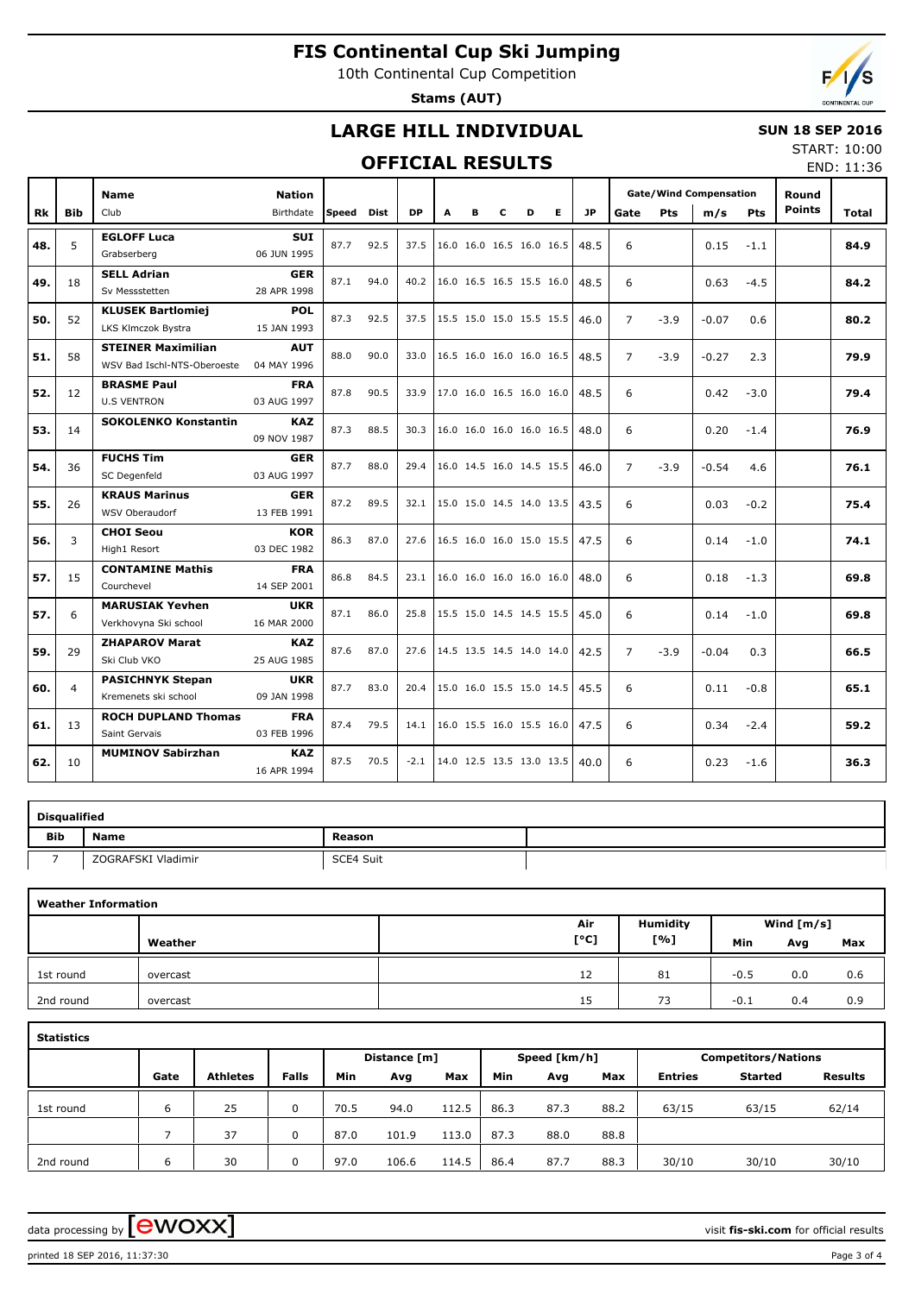10th Continental Cup Competition

**Stams (AUT)**



## **LARGE HILL INDIVIDUAL**

### **SUN 18 SEP 2016**

## **OFFICIAL RESULTS**

START: 10:00 END: 11:36

|           |                | <b>Name</b>                  | <b>Nation</b>             |       |      |           |   |                          |   |   |   |           |                |        | <b>Gate/Wind Compensation</b> |            | Round         |              |
|-----------|----------------|------------------------------|---------------------------|-------|------|-----------|---|--------------------------|---|---|---|-----------|----------------|--------|-------------------------------|------------|---------------|--------------|
| <b>Rk</b> | <b>Bib</b>     | Club                         | Birthdate                 | Speed | Dist | <b>DP</b> | A | R                        | с | D | Е | <b>JP</b> | Gate           | Pts    | m/s                           | <b>Pts</b> | <b>Points</b> | <b>Total</b> |
| 48.       | 5              | <b>EGLOFF Luca</b>           | <b>SUI</b>                | 87.7  | 92.5 | 37.5      |   | 16.0 16.0 16.5 16.0 16.5 |   |   |   | 48.5      | 6              |        | 0.15                          | $-1.1$     |               | 84.9         |
|           |                | Grabserberg                  | 06 JUN 1995               |       |      |           |   |                          |   |   |   |           |                |        |                               |            |               |              |
| 49.       | 18             | <b>SELL Adrian</b>           | <b>GER</b>                | 87.1  | 94.0 | 40.2      |   | 16.0 16.5 16.5 15.5 16.0 |   |   |   | 48.5      | 6              |        | 0.63                          | $-4.5$     |               | 84.2         |
|           |                | Sv Messstetten               | 28 APR 1998               |       |      |           |   |                          |   |   |   |           |                |        |                               |            |               |              |
| 50.       | 52             | <b>KLUSEK Bartlomiej</b>     | <b>POL</b>                | 87.3  | 92.5 | 37.5      |   | 15.5 15.0 15.0 15.5 15.5 |   |   |   | 46.0      | $\overline{7}$ | $-3.9$ | $-0.07$                       | 0.6        |               | 80.2         |
|           |                | LKS Klmczok Bystra           | 15 JAN 1993               |       |      |           |   |                          |   |   |   |           |                |        |                               |            |               |              |
| 51.       | 58             | <b>STEINER Maximilian</b>    | <b>AUT</b>                | 88.0  | 90.0 | 33.0      |   | 16.5 16.0 16.0 16.0 16.5 |   |   |   | 48.5      | $\overline{7}$ | $-3.9$ | $-0.27$                       | 2.3        |               | 79.9         |
|           |                | WSV Bad Ischl-NTS-Oberoester | 04 MAY 1996               |       |      |           |   |                          |   |   |   |           |                |        |                               |            |               |              |
| 52.       | 12             | <b>BRASME Paul</b>           | <b>FRA</b>                | 87.8  | 90.5 | 33.9      |   | 17.0 16.0 16.5 16.0 16.0 |   |   |   | 48.5      | 6              |        | 0.42                          | $-3.0$     |               | 79.4         |
|           |                | <b>U.S VENTRON</b>           | 03 AUG 1997<br><b>KAZ</b> |       |      |           |   |                          |   |   |   |           |                |        |                               |            |               |              |
| 53.       | 14             | <b>SOKOLENKO Konstantin</b>  | 09 NOV 1987               | 87.3  | 88.5 | 30.3      |   | 16.0 16.0 16.0 16.0 16.5 |   |   |   | 48.0      | 6              |        | 0.20                          | $-1.4$     |               | 76.9         |
|           |                | <b>FUCHS Tim</b>             | <b>GER</b>                |       |      |           |   |                          |   |   |   |           |                |        |                               |            |               |              |
| 54.       | 36             | SC Degenfeld                 | 03 AUG 1997               | 87.7  | 88.0 | 29.4      |   | 16.0 14.5 16.0 14.5 15.5 |   |   |   | 46.0      | $\overline{7}$ | $-3.9$ | $-0.54$                       | 4.6        |               | 76.1         |
|           |                | <b>KRAUS Marinus</b>         | <b>GER</b>                |       |      |           |   |                          |   |   |   |           |                |        |                               |            |               |              |
| 55.       | 26             | WSV Oberaudorf               | 13 FEB 1991               | 87.2  | 89.5 | 32.1      |   | 15.0 15.0 14.5 14.0 13.5 |   |   |   | 43.5      | 6              |        | 0.03                          | $-0.2$     |               | 75.4         |
| 56.       | 3              | <b>CHOI Seou</b>             | <b>KOR</b>                | 86.3  | 87.0 | 27.6      |   | 16.5 16.0 16.0 15.0 15.5 |   |   |   | 47.5      | 6              |        | 0.14                          | $-1.0$     |               | 74.1         |
|           |                | High1 Resort                 | 03 DEC 1982               |       |      |           |   |                          |   |   |   |           |                |        |                               |            |               |              |
| 57.       | 15             | <b>CONTAMINE Mathis</b>      | <b>FRA</b>                | 86.8  | 84.5 | 23.1      |   | 16.0 16.0 16.0 16.0 16.0 |   |   |   | 48.0      | 6              |        | 0.18                          | $-1.3$     |               | 69.8         |
|           |                | Courchevel                   | 14 SEP 2001               |       |      |           |   |                          |   |   |   |           |                |        |                               |            |               |              |
| 57.       | 6              | <b>MARUSIAK Yevhen</b>       | <b>UKR</b>                | 87.1  | 86.0 | 25.8      |   | 15.5 15.0 14.5 14.5 15.5 |   |   |   | 45.0      | 6              |        | 0.14                          | $-1.0$     |               | 69.8         |
|           |                | Verkhovyna Ski school        | 16 MAR 2000               |       |      |           |   |                          |   |   |   |           |                |        |                               |            |               |              |
| 59.       | 29             | <b>ZHAPAROV Marat</b>        | <b>KAZ</b>                | 87.6  | 87.0 | 27.6      |   | 14.5 13.5 14.5 14.0 14.0 |   |   |   | 42.5      | 7              | $-3.9$ | $-0.04$                       | 0.3        |               | 66.5         |
|           |                | Ski Club VKO                 | 25 AUG 1985               |       |      |           |   |                          |   |   |   |           |                |        |                               |            |               |              |
| 60.       | $\overline{4}$ | <b>PASICHNYK Stepan</b>      | <b>UKR</b>                | 87.7  | 83.0 | 20.4      |   | 15.0 16.0 15.5 15.0 14.5 |   |   |   | 45.5      | 6              |        | 0.11                          | $-0.8$     |               | 65.1         |
|           |                | Kremenets ski school         | 09 JAN 1998               |       |      |           |   |                          |   |   |   |           |                |        |                               |            |               |              |
| 61.       | 13             | <b>ROCH DUPLAND Thomas</b>   | <b>FRA</b>                | 87.4  | 79.5 | 14.1      |   | 16.0 15.5 16.0 15.5 16.0 |   |   |   | 47.5      | 6              |        | 0.34                          | $-2.4$     |               | 59.2         |
|           |                | Saint Gervais                | 03 FEB 1996               |       |      |           |   |                          |   |   |   |           |                |        |                               |            |               |              |
| 62.       | 10             | <b>MUMINOV Sabirzhan</b>     | <b>KAZ</b>                | 87.5  | 70.5 | $-2.1$    |   | 14.0 12.5 13.5 13.0 13.5 |   |   |   | 40.0      | 6              |        | 0.23                          | $-1.6$     |               | 36.3         |
|           |                |                              | 16 APR 1994               |       |      |           |   |                          |   |   |   |           |                |        |                               |            |               |              |

| <b>Disqualified</b> |                    |           |  |
|---------------------|--------------------|-----------|--|
| <b>Bib</b>          | Name               | Reason    |  |
|                     | ZOGRAFSKI Vladimir | SCE4 Suit |  |

|           | <b>Weather Information</b> |      |                 |        |              |     |  |  |  |  |  |  |  |  |
|-----------|----------------------------|------|-----------------|--------|--------------|-----|--|--|--|--|--|--|--|--|
|           |                            | Air  | <b>Humidity</b> |        | Wind $[m/s]$ |     |  |  |  |  |  |  |  |  |
|           | Weather                    | [°C] | [%]             | Min    | Avg          | Max |  |  |  |  |  |  |  |  |
| 1st round | overcast                   | 12   | 81              | $-0.5$ | 0.0          | 0.6 |  |  |  |  |  |  |  |  |
| 2nd round | overcast                   | 15   | 73              | $-0.1$ | 0.4          | 0.9 |  |  |  |  |  |  |  |  |

| <b>Statistics</b> |      |                 |              |      |              |       |      |              |      |                            |                |                |  |
|-------------------|------|-----------------|--------------|------|--------------|-------|------|--------------|------|----------------------------|----------------|----------------|--|
|                   |      |                 |              |      | Distance [m] |       |      | Speed [km/h] |      | <b>Competitors/Nations</b> |                |                |  |
|                   | Gate | <b>Athletes</b> | <b>Falls</b> | Min  | Avg          | Max   | Min  | Avg          | Max  | <b>Entries</b>             | <b>Started</b> | <b>Results</b> |  |
| 1st round         | 6    | 25              | 0            | 70.5 | 94.0         | 112.5 | 86.3 | 87.3         | 88.2 | 63/15                      | 63/15          | 62/14          |  |
|                   |      | 37              | $\Omega$     | 87.0 | 101.9        | 113.0 | 87.3 | 88.0         | 88.8 |                            |                |                |  |
| 2nd round         | ь    | 30              | 0            | 97.0 | 106.6        | 114.5 | 86.4 | 87.7         | 88.3 | 30/10                      | 30/10          | 30/10          |  |

data processing by **CWOXX**  $\blacksquare$ 

printed 18 SEP 2016, 11:37:30 Page 3 of 4